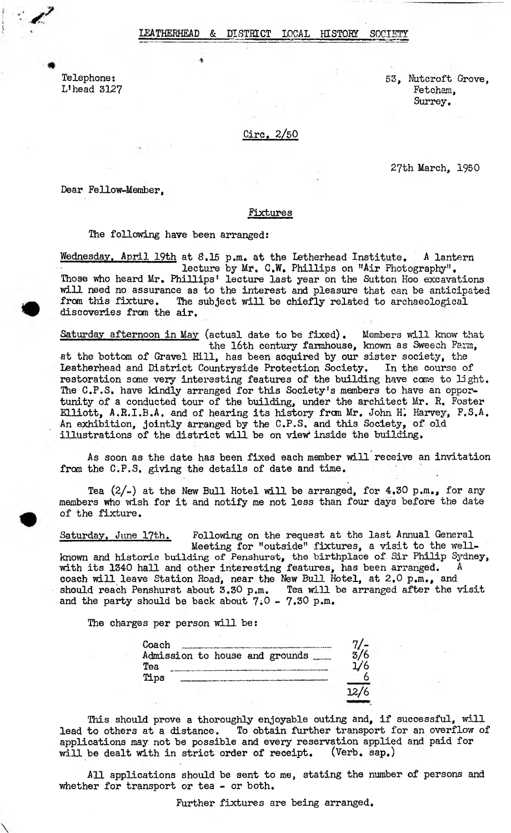### EATHERHEAD & DISTRICT LOCAL HISTORY SOCIE

Telephone: 53, Nutcroft Grove, L 'head 3127 Fetcham, Surrey.

Ciro. 2/50

27th March, 1950

Dear Fellow-Member,

### fixtures

#### The following have been arranged:

Wednesday. April 19th at 8.15 p.m. at the Letherhead Institute. A lantern lecture by Mr. C.W. Phillips on "Air Photography". Those who heard Mr, Phillips' lecture last year on the Sutton Hoo excavations will need no assurance as to the interest and pleasure that can be anticipated from this fixture. The subject will be chiefly related to archaeological discoveries from the air,

Saturday afternoon in May (actual date to be fixed). Members will know that the 16th century farmhouse, known as Sweech Farm, at the bottom of Gravel Hill, has been acquired by our sister society, the Leatherhead and District Countryside Protection Society. In the course of Leatherhead and District Countryside Protection Society. restoration some very interesting features of the building have come to light. The C.P.S. have kindly arranged for this Society's members to have an opportunity of a conducted tour of the building, under the architect Mr. R, Foster Elliott, A.R.I.B.A. and of hearing its history fran Mr, John Hi Harvey, F.S.A, An exhibition, jointly arranged by the C.P.S. and this Society, of old illustrations of the district will be on view inside the building.

As soon as the date has been fixed each member will receive an invitation from the C.P.S. giving the details of date and time.

Tea  $(2/-)$  at the New Bull Hotel will be arranged, for  $4.30$  p.m., for any members who wish for it and notify me not less than four days before the date of the fixture.

Saturday. June 17th. Following on the request at the last Annual General Meeting for "outside" fixtures, a visit to the wellknown and historic building of Penshurst, the birthplace of Sir Philip Sydney, with its 1340 hall and other interesting features, has been arranged.  $A$ coach will leave Station Road, near the New Bull Hotel, at 2,0 p.m., and should reach Penshurst about 3.30 p.m. Tea will be arranged after the visit and the party should be back about  $7.0 - 7.30$  p.m.

The charges per person will be:

| Coach |  |  |                                |  |
|-------|--|--|--------------------------------|--|
|       |  |  | Admission to house and grounds |  |
| Tea   |  |  |                                |  |
| Tips  |  |  |                                |  |
|       |  |  |                                |  |
|       |  |  |                                |  |

This should prove a thoroughly enjoyable outing and, if successful, will lead to others at a distance. To obtain further transport for an overflow of applications may not be possible and every reservation applied and paid for will be dealt with in strict order of receipt. (Verb. sap.)

All applications should be sent to me, stating the number of persons and whether for transport or tea - or both.

Further fixtures are being arranged.